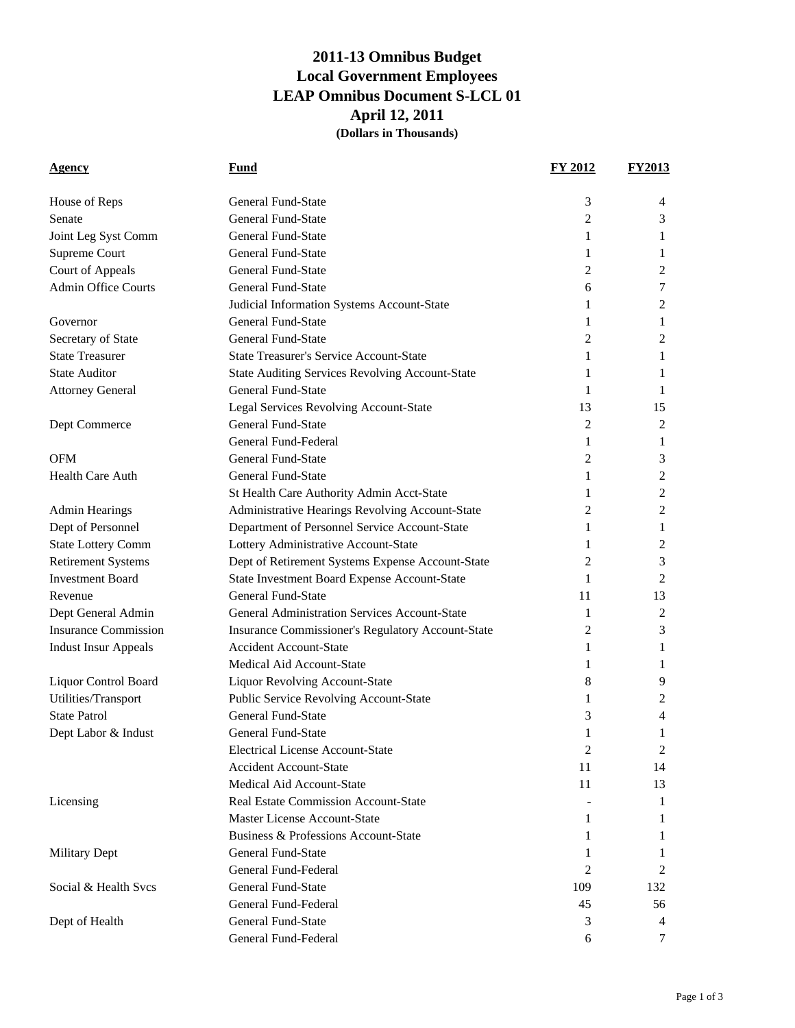## **2011-13 Omnibus Budget Local Government Employees LEAP Omnibus Document S-LCL 01 April 12, 2011 (Dollars in Thousands)**

| <b>Agency</b>               | Fund                                                   | <b>FY 2012</b> | <b>FY2013</b> |
|-----------------------------|--------------------------------------------------------|----------------|---------------|
| House of Reps               | <b>General Fund-State</b>                              | 3              | 4             |
| Senate                      | <b>General Fund-State</b>                              | $\overline{c}$ | 3             |
| Joint Leg Syst Comm         | General Fund-State                                     | 1              | 1             |
| Supreme Court               | <b>General Fund-State</b>                              | 1              | 1             |
| Court of Appeals            | <b>General Fund-State</b>                              | 2              | 2             |
| <b>Admin Office Courts</b>  | <b>General Fund-State</b>                              | 6              | 7             |
|                             | Judicial Information Systems Account-State             | 1              | 2             |
| Governor                    | <b>General Fund-State</b>                              | 1              | 1             |
| Secretary of State          | <b>General Fund-State</b>                              | 2              | 2             |
| <b>State Treasurer</b>      | <b>State Treasurer's Service Account-State</b>         | 1              | 1             |
| <b>State Auditor</b>        | <b>State Auditing Services Revolving Account-State</b> | 1              | 1             |
| <b>Attorney General</b>     | <b>General Fund-State</b>                              | 1              | 1             |
|                             | Legal Services Revolving Account-State                 | 13             | 15            |
| Dept Commerce               | <b>General Fund-State</b>                              | 2              | 2             |
|                             | General Fund-Federal                                   | 1              | 1             |
| <b>OFM</b>                  | <b>General Fund-State</b>                              | 2              | 3             |
| <b>Health Care Auth</b>     | <b>General Fund-State</b>                              | 1              | 2             |
|                             | St Health Care Authority Admin Acct-State              | 1              | 2             |
| <b>Admin Hearings</b>       | Administrative Hearings Revolving Account-State        | 2              | 2             |
| Dept of Personnel           | Department of Personnel Service Account-State          | 1              | 1             |
| <b>State Lottery Comm</b>   | Lottery Administrative Account-State                   | 1              | 2             |
| <b>Retirement Systems</b>   | Dept of Retirement Systems Expense Account-State       | 2              | 3             |
| <b>Investment Board</b>     | State Investment Board Expense Account-State           | 1              | 2             |
| Revenue                     | <b>General Fund-State</b>                              | 11             | 13            |
| Dept General Admin          | <b>General Administration Services Account-State</b>   | 1              | 2             |
| <b>Insurance Commission</b> | Insurance Commissioner's Regulatory Account-State      | 2              | 3             |
| <b>Indust Insur Appeals</b> | <b>Accident Account-State</b>                          | 1              | 1             |
|                             | <b>Medical Aid Account-State</b>                       | 1              | 1             |
| Liquor Control Board        | <b>Liquor Revolving Account-State</b>                  | 8              | 9             |
| Utilities/Transport         | Public Service Revolving Account-State                 | 1              | 2             |
| <b>State Patrol</b>         | <b>General Fund-State</b>                              | 3              | 4             |
| Dept Labor & Indust         | General Fund-State                                     | 1              | 1             |
|                             | <b>Electrical License Account-State</b>                | 2              | 2             |
|                             | <b>Accident Account-State</b>                          | 11             | 14            |
|                             | Medical Aid Account-State                              | 11             | 13            |
| Licensing                   | Real Estate Commission Account-State                   |                | 1             |
|                             | Master License Account-State                           | 1              | 1             |
|                             | Business & Professions Account-State                   | 1              | 1             |
| <b>Military Dept</b>        | <b>General Fund-State</b>                              | 1              | 1             |
|                             | General Fund-Federal                                   | 2              | 2             |
| Social & Health Svcs        | <b>General Fund-State</b>                              | 109            | 132           |
|                             | General Fund-Federal                                   | 45             | 56            |
| Dept of Health              | General Fund-State                                     | 3              | 4             |
|                             | General Fund-Federal                                   | 6              | 7             |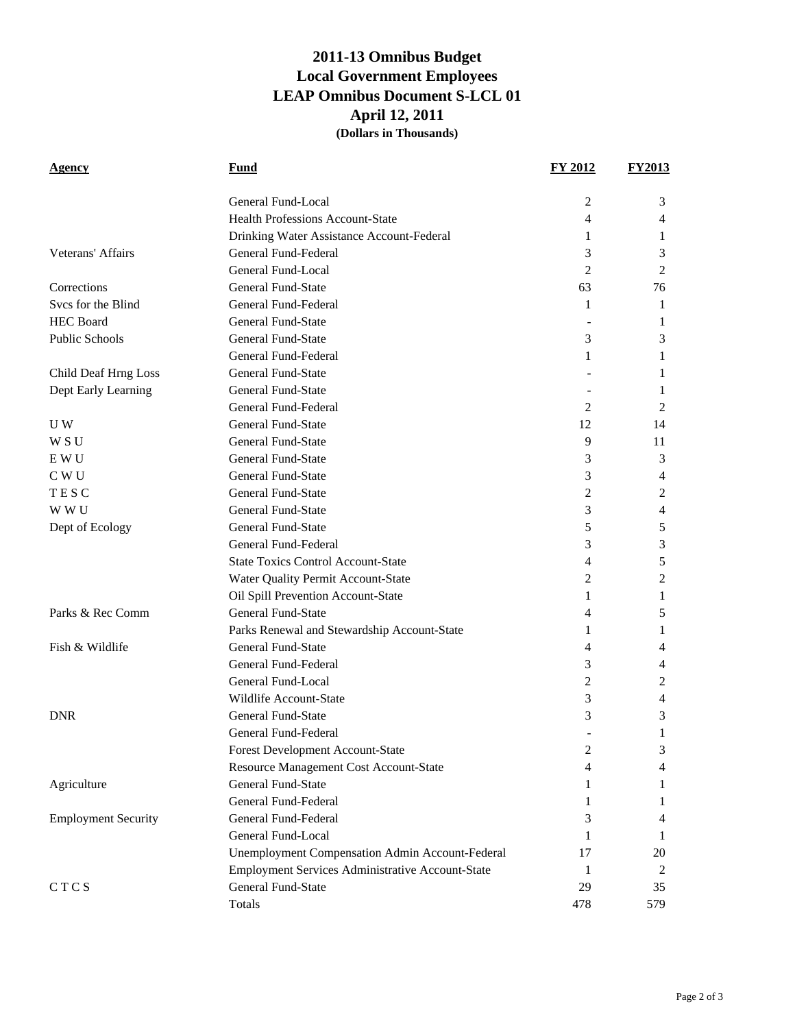## **2011-13 Omnibus Budget Local Government Employees LEAP Omnibus Document S-LCL 01 April 12, 2011 (Dollars in Thousands)**

| Agency                     | Fund                                             | <b>FY 2012</b> | <b>FY2013</b> |
|----------------------------|--------------------------------------------------|----------------|---------------|
|                            | General Fund-Local                               | 2              | 3             |
|                            | <b>Health Professions Account-State</b>          | 4              | 4             |
|                            | Drinking Water Assistance Account-Federal        | 1              | 1             |
| Veterans' Affairs          | General Fund-Federal                             | 3              | 3             |
|                            | General Fund-Local                               | 2              | 2             |
| Corrections                | <b>General Fund-State</b>                        | 63             | 76            |
| Svcs for the Blind         | General Fund-Federal                             | 1              | 1             |
| <b>HEC Board</b>           | <b>General Fund-State</b>                        |                | 1             |
| Public Schools             | <b>General Fund-State</b>                        | 3              | 3             |
|                            | General Fund-Federal                             | 1              | 1             |
| Child Deaf Hrng Loss       | General Fund-State                               |                | 1             |
| Dept Early Learning        | General Fund-State                               |                | 1             |
|                            | General Fund-Federal                             | 2              | 2             |
| U W                        | <b>General Fund-State</b>                        | 12             | 14            |
| W S U                      | <b>General Fund-State</b>                        | 9              | 11            |
| E W U                      | <b>General Fund-State</b>                        | 3              | 3             |
| C W U                      | <b>General Fund-State</b>                        | 3              | 4             |
| TESC                       | <b>General Fund-State</b>                        | $\overline{2}$ | 2             |
| W W U                      | <b>General Fund-State</b>                        | 3              | 4             |
| Dept of Ecology            | <b>General Fund-State</b>                        | 5              | 5             |
|                            | General Fund-Federal                             | 3              | 3             |
|                            | <b>State Toxics Control Account-State</b>        | 4              | 5             |
|                            | Water Quality Permit Account-State               | 2              | 2             |
|                            | Oil Spill Prevention Account-State               | 1              | 1             |
| Parks & Rec Comm           | General Fund-State                               | 4              | 5             |
|                            | Parks Renewal and Stewardship Account-State      | 1              | 1             |
| Fish & Wildlife            | General Fund-State                               | 4              | 4             |
|                            | General Fund-Federal                             | 3              | 4             |
|                            | General Fund-Local                               | 2              | 2             |
|                            | Wildlife Account-State                           | 3              | 4             |
| <b>DNR</b>                 | General Fund-State                               | 3              | 3             |
|                            | General Fund-Federal                             |                | 1             |
|                            | Forest Development Account-State                 | 2              | 3             |
|                            | Resource Management Cost Account-State           | 4              | 4             |
| Agriculture                | <b>General Fund-State</b>                        | 1              | 1             |
|                            | <b>General Fund-Federal</b>                      | 1              | 1             |
| <b>Employment Security</b> | General Fund-Federal                             | 3              | 4             |
|                            | General Fund-Local                               | 1              | 1             |
|                            | Unemployment Compensation Admin Account-Federal  | 17             | 20            |
|                            | Employment Services Administrative Account-State | 1              | 2             |
| CTCS                       | <b>General Fund-State</b>                        | 29             | 35            |
|                            | Totals                                           | 478            | 579           |